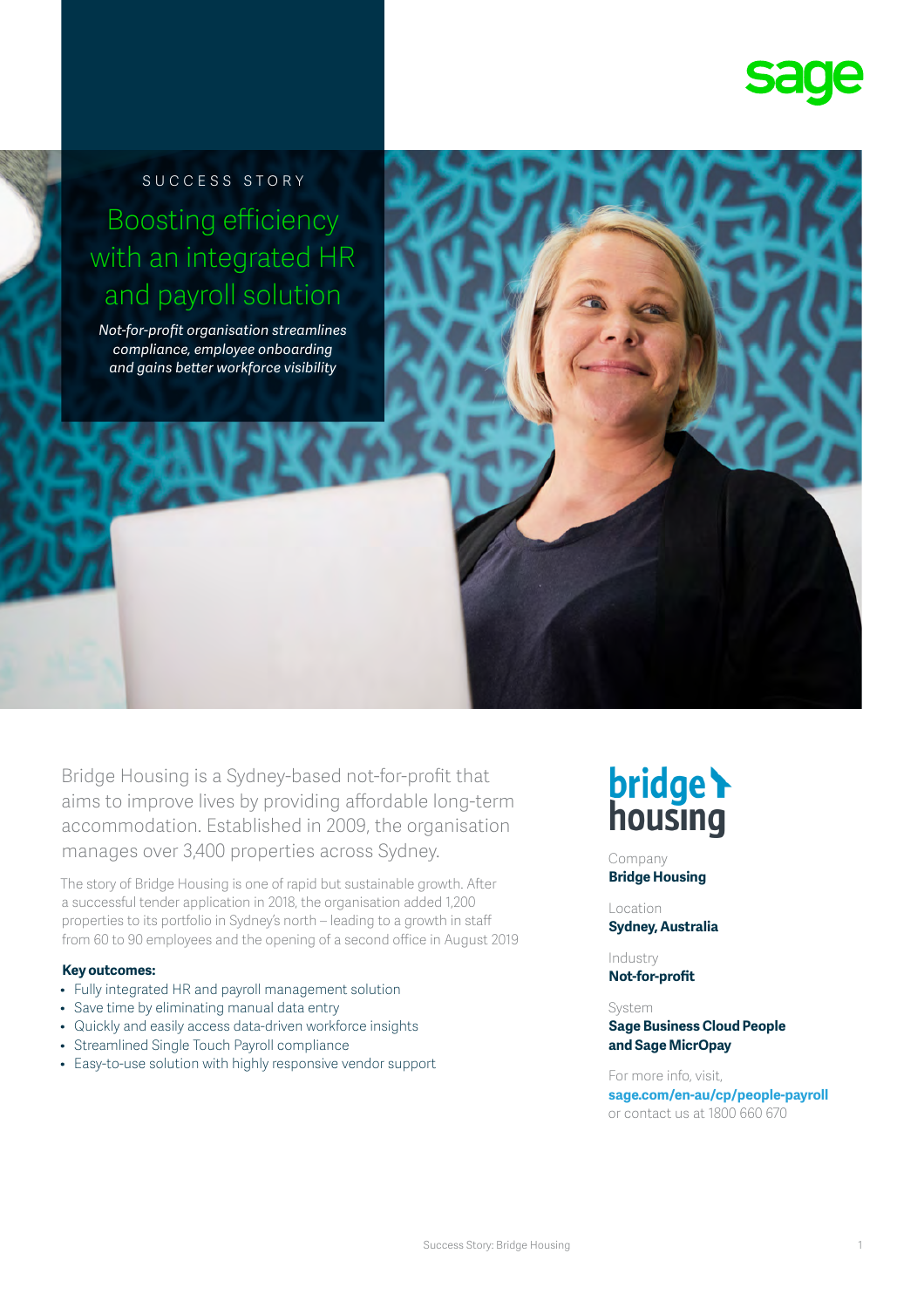

SUCCESS STORY Boosting efficiency with an integrated HR and payroll solution

*Not-for-profit organisation streamlines compliance, employee onboarding and gains better workforce visibility*

Bridge Housing is a Sydney-based not-for-profit that aims to improve lives by providing affordable long-term accommodation. Established in 2009, the organisation manages over 3,400 properties across Sydney.

The story of Bridge Housing is one of rapid but sustainable growth. After a successful tender application in 2018, the organisation added 1,200 properties to its portfolio in Sydney's north – leading to a growth in staff from 60 to 90 employees and the opening of a second office in August 2019

### **Key outcomes:**

- Fully integrated HR and payroll management solution
- Save time by eliminating manual data entry
- Quickly and easily access data-driven workforce insights
- Streamlined Single Touch Payroll compliance
- Easy-to-use solution with highly responsive vendor support

# **bridge**

Company **Bridge Housing** 

Location **Sydney, Australia**

Industry **Not-for-profit**

System **Sage Business Cloud People and Sage MicrOpay**

For more info, visit, **sage.com/en-au/cp/people-payroll**  or contact us at 1800 660 670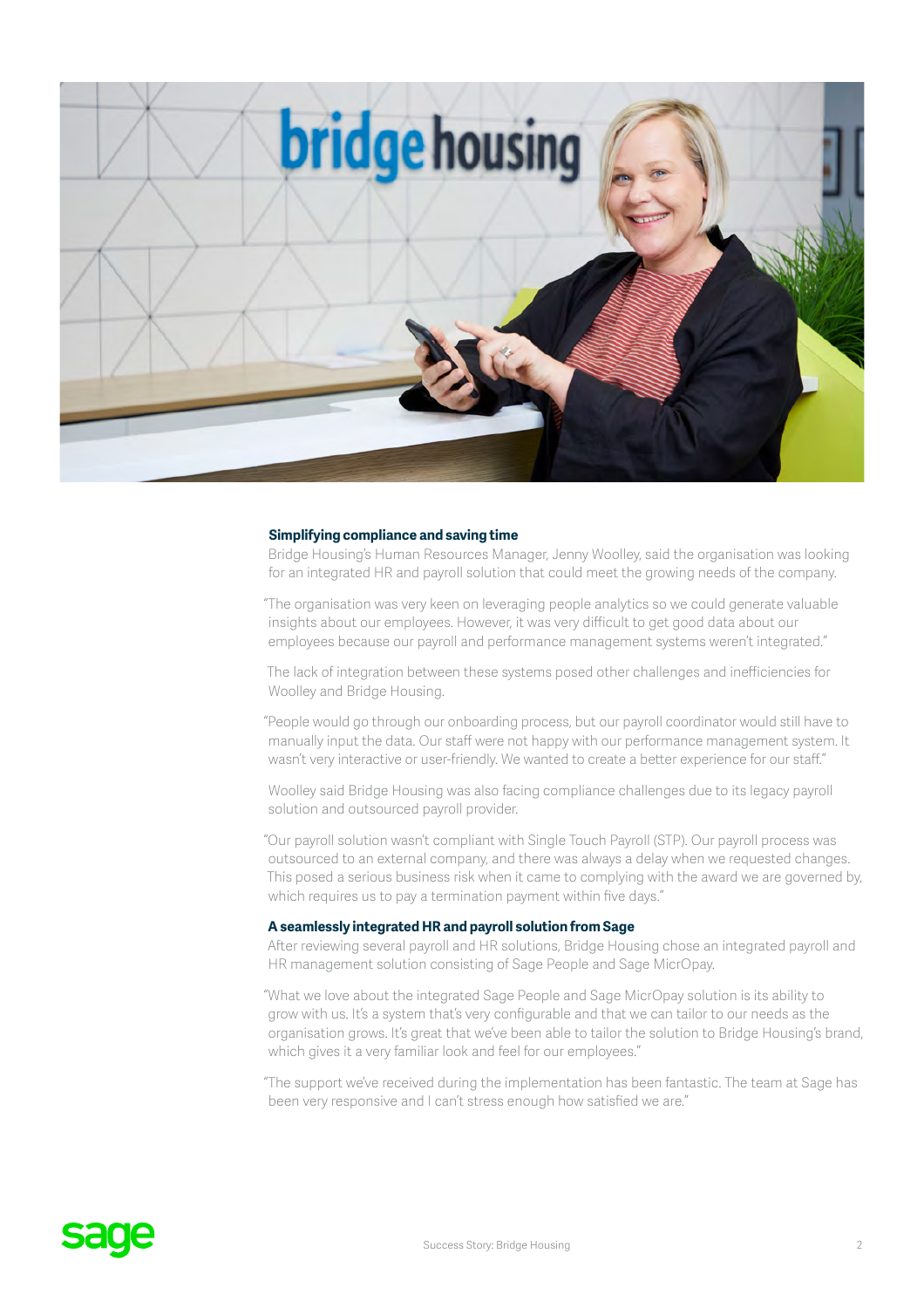

#### **Simplifying compliance and saving time**

Bridge Housing's Human Resources Manager, Jenny Woolley, said the organisation was looking for an integrated HR and payroll solution that could meet the growing needs of the company.

"The organisation was very keen on leveraging people analytics so we could generate valuable insights about our employees. However, it was very difficult to get good data about our employees because our payroll and performance management systems weren't integrated."

The lack of integration between these systems posed other challenges and inefficiencies for Woolley and Bridge Housing.

"People would go through our onboarding process, but our payroll coordinator would still have to manually input the data. Our staff were not happy with our performance management system. It wasn't very interactive or user-friendly. We wanted to create a better experience for our staff."

Woolley said Bridge Housing was also facing compliance challenges due to its legacy payroll solution and outsourced payroll provider.

"Our payroll solution wasn't compliant with Single Touch Payroll (STP). Our payroll process was outsourced to an external company, and there was always a delay when we requested changes. This posed a serious business risk when it came to complying with the award we are governed by, which requires us to pay a termination payment within five days."

### **A seamlessly integrated HR and payroll solution from Sage**

After reviewing several payroll and HR solutions, Bridge Housing chose an integrated payroll and HR management solution consisting of Sage People and Sage MicrOpay.

"What we love about the integrated Sage People and Sage MicrOpay solution is its ability to grow with us. It's a system that's very configurable and that we can tailor to our needs as the organisation grows. It's great that we've been able to tailor the solution to Bridge Housing's brand, which gives it a very familiar look and feel for our employees."

"The support we've received during the implementation has been fantastic. The team at Sage has been very responsive and I can't stress enough how satisfied we are."

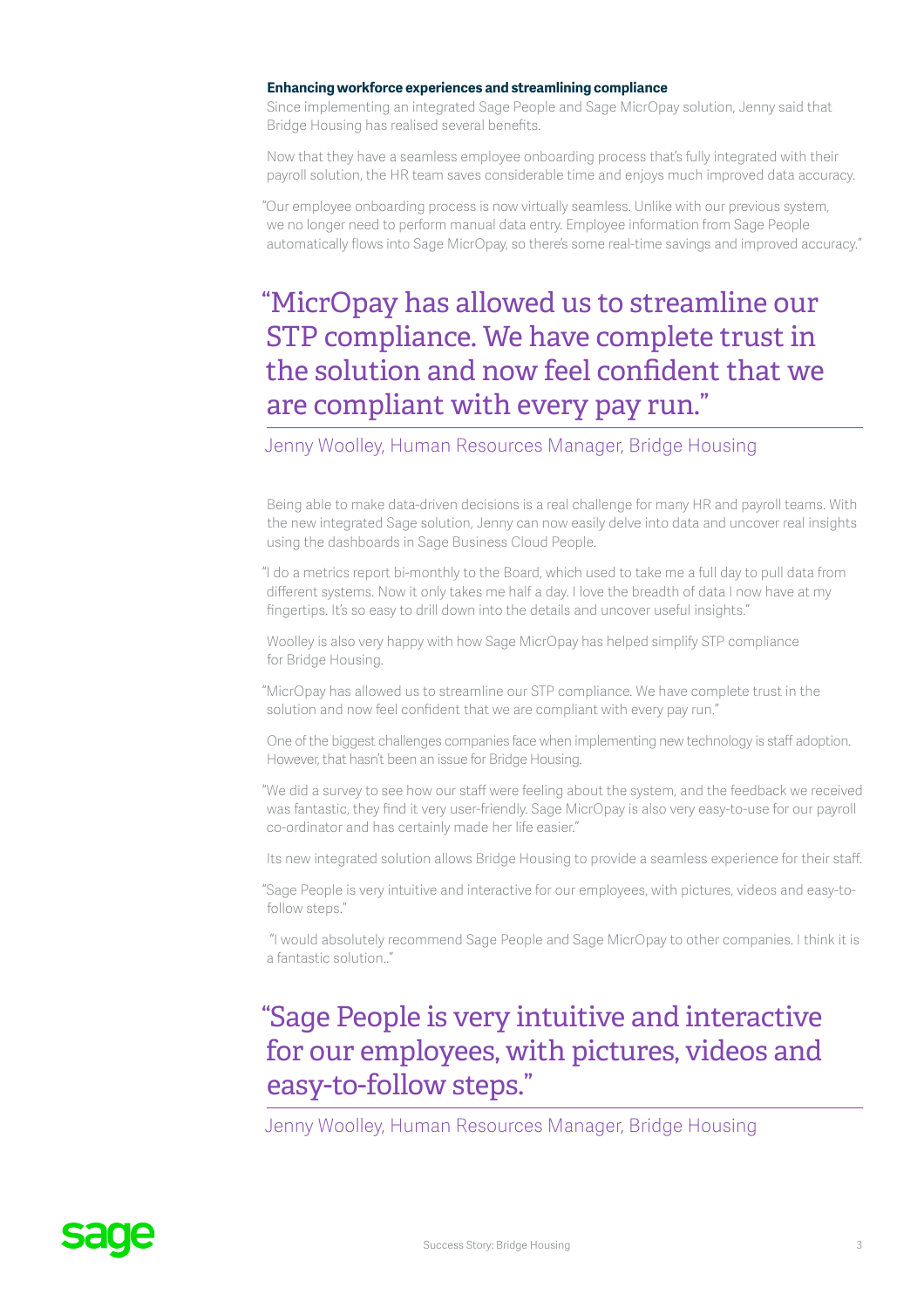### **Enhancing workforce experiences and streamlining compliance**

Since implementing an integrated Sage People and Sage MicrOpay solution, Jenny said that Bridge Housing has realised several benefits.

Now that they have a seamless employee onboarding process that's fully integrated with their payroll solution, the HR team saves considerable time and enjoys much improved data accuracy.

"Our employee onboarding process is now virtually seamless. Unlike with our previous system, we no longer need to perform manual data entry. Employee information from Sage People automatically flows into Sage MicrOpay, so there's some real-time savings and improved accuracy."

## "MicrOpay has allowed us to streamline our STP compliance. We have complete trust in the solution and now feel confident that we are compliant with every pay run."

### Jenny Woolley, Human Resources Manager, Bridge Housing

Being able to make data-driven decisions is a real challenge for many HR and payroll teams. With the new integrated Sage solution, Jenny can now easily delve into data and uncover real insights using the dashboards in Sage Business Cloud People.

"I do a metrics report bi-monthly to the Board, which used to take me a full day to pull data from different systems. Now it only takes me half a day. I love the breadth of data I now have at my fingertips. It's so easy to drill down into the details and uncover useful insights."

Woolley is also very happy with how Sage MicrOpay has helped simplify STP compliance for Bridge Housing.

"MicrOpay has allowed us to streamline our STP compliance. We have complete trust in the solution and now feel confident that we are compliant with every pay run."

One of the biggest challenges companies face when implementing new technology is staff adoption. However, that hasn't been an issue for Bridge Housing.

"We did a survey to see how our staff were feeling about the system, and the feedback we received was fantastic, they find it very user-friendly. Sage MicrOpay is also very easy-to-use for our payroll co-ordinator and has certainly made her life easier."

Its new integrated solution allows Bridge Housing to provide a seamless experience for their staff.

"Sage People is very intuitive and interactive for our employees, with pictures, videos and easy-tofollow steps."

 "I would absolutely recommend Sage People and Sage MicrOpay to other companies. I think it is a fantastic solution.."

### "Sage People is very intuitive and interactive for our employees, with pictures, videos and easy-to-follow steps."

Jenny Woolley, Human Resources Manager, Bridge Housing